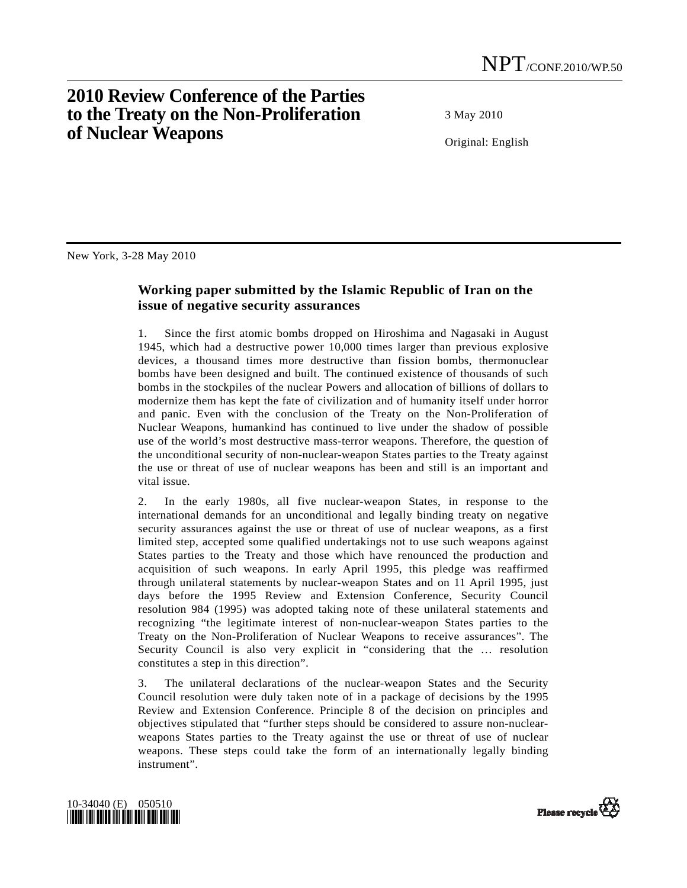## **2010 Review Conference of the Parties to the Treaty on the Non-Proliferation of Nuclear Weapons**

3 May 2010

Original: English

New York, 3-28 May 2010

## **Working paper submitted by the Islamic Republic of Iran on the issue of negative security assurances**

1. Since the first atomic bombs dropped on Hiroshima and Nagasaki in August 1945, which had a destructive power 10,000 times larger than previous explosive devices, a thousand times more destructive than fission bombs, thermonuclear bombs have been designed and built. The continued existence of thousands of such bombs in the stockpiles of the nuclear Powers and allocation of billions of dollars to modernize them has kept the fate of civilization and of humanity itself under horror and panic. Even with the conclusion of the Treaty on the Non-Proliferation of Nuclear Weapons, humankind has continued to live under the shadow of possible use of the world's most destructive mass-terror weapons. Therefore, the question of the unconditional security of non-nuclear-weapon States parties to the Treaty against the use or threat of use of nuclear weapons has been and still is an important and vital issue.

2. In the early 1980s, all five nuclear-weapon States, in response to the international demands for an unconditional and legally binding treaty on negative security assurances against the use or threat of use of nuclear weapons, as a first limited step, accepted some qualified undertakings not to use such weapons against States parties to the Treaty and those which have renounced the production and acquisition of such weapons. In early April 1995, this pledge was reaffirmed through unilateral statements by nuclear-weapon States and on 11 April 1995, just days before the 1995 Review and Extension Conference, Security Council resolution 984 (1995) was adopted taking note of these unilateral statements and recognizing "the legitimate interest of non-nuclear-weapon States parties to the Treaty on the Non-Proliferation of Nuclear Weapons to receive assurances". The Security Council is also very explicit in "considering that the … resolution constitutes a step in this direction".

3. The unilateral declarations of the nuclear-weapon States and the Security Council resolution were duly taken note of in a package of decisions by the 1995 Review and Extension Conference. Principle 8 of the decision on principles and objectives stipulated that "further steps should be considered to assure non-nuclearweapons States parties to the Treaty against the use or threat of use of nuclear weapons. These steps could take the form of an internationally legally binding instrument".



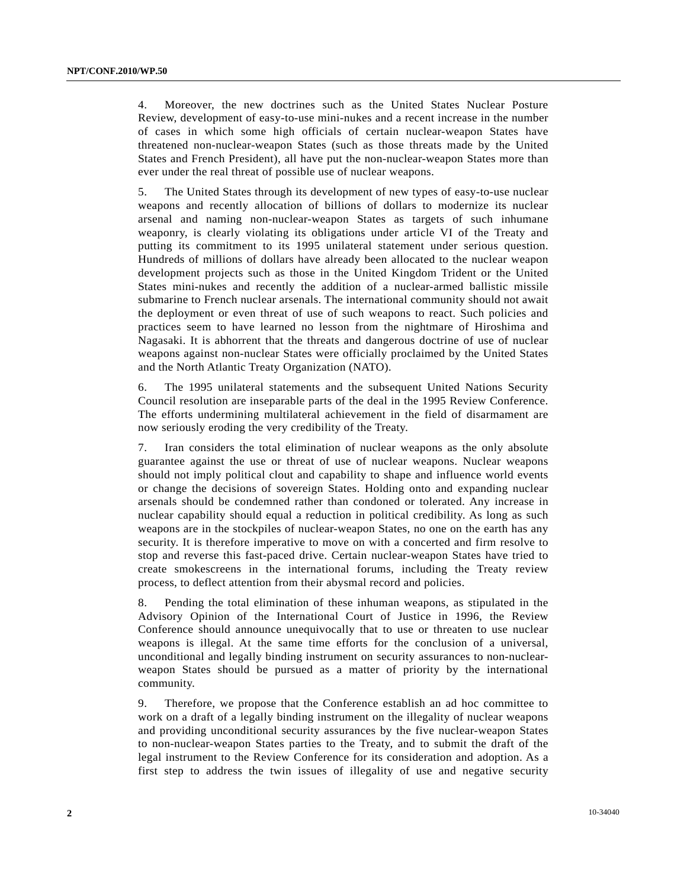4. Moreover, the new doctrines such as the United States Nuclear Posture Review, development of easy-to-use mini-nukes and a recent increase in the number of cases in which some high officials of certain nuclear-weapon States have threatened non-nuclear-weapon States (such as those threats made by the United States and French President), all have put the non-nuclear-weapon States more than ever under the real threat of possible use of nuclear weapons.

5. The United States through its development of new types of easy-to-use nuclear weapons and recently allocation of billions of dollars to modernize its nuclear arsenal and naming non-nuclear-weapon States as targets of such inhumane weaponry, is clearly violating its obligations under article VI of the Treaty and putting its commitment to its 1995 unilateral statement under serious question. Hundreds of millions of dollars have already been allocated to the nuclear weapon development projects such as those in the United Kingdom Trident or the United States mini-nukes and recently the addition of a nuclear-armed ballistic missile submarine to French nuclear arsenals. The international community should not await the deployment or even threat of use of such weapons to react. Such policies and practices seem to have learned no lesson from the nightmare of Hiroshima and Nagasaki. It is abhorrent that the threats and dangerous doctrine of use of nuclear weapons against non-nuclear States were officially proclaimed by the United States and the North Atlantic Treaty Organization (NATO).

6. The 1995 unilateral statements and the subsequent United Nations Security Council resolution are inseparable parts of the deal in the 1995 Review Conference. The efforts undermining multilateral achievement in the field of disarmament are now seriously eroding the very credibility of the Treaty.

7. Iran considers the total elimination of nuclear weapons as the only absolute guarantee against the use or threat of use of nuclear weapons. Nuclear weapons should not imply political clout and capability to shape and influence world events or change the decisions of sovereign States. Holding onto and expanding nuclear arsenals should be condemned rather than condoned or tolerated. Any increase in nuclear capability should equal a reduction in political credibility. As long as such weapons are in the stockpiles of nuclear-weapon States, no one on the earth has any security. It is therefore imperative to move on with a concerted and firm resolve to stop and reverse this fast-paced drive. Certain nuclear-weapon States have tried to create smokescreens in the international forums, including the Treaty review process, to deflect attention from their abysmal record and policies.

8. Pending the total elimination of these inhuman weapons, as stipulated in the Advisory Opinion of the International Court of Justice in 1996, the Review Conference should announce unequivocally that to use or threaten to use nuclear weapons is illegal. At the same time efforts for the conclusion of a universal, unconditional and legally binding instrument on security assurances to non-nuclearweapon States should be pursued as a matter of priority by the international community.

9. Therefore, we propose that the Conference establish an ad hoc committee to work on a draft of a legally binding instrument on the illegality of nuclear weapons and providing unconditional security assurances by the five nuclear-weapon States to non-nuclear-weapon States parties to the Treaty, and to submit the draft of the legal instrument to the Review Conference for its consideration and adoption. As a first step to address the twin issues of illegality of use and negative security